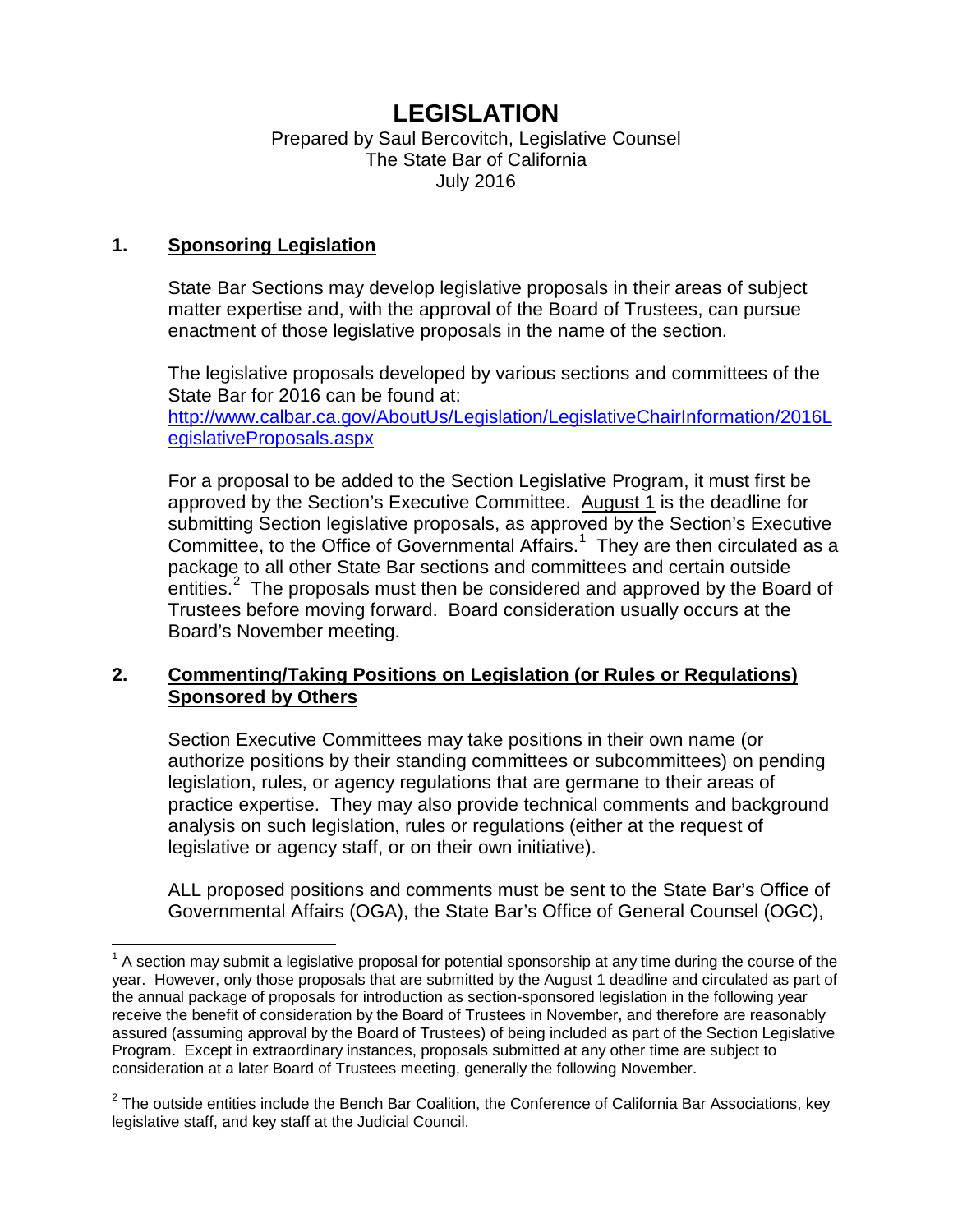# **LEGISLATION**

## Prepared by Saul Bercovitch, Legislative Counsel The State Bar of California July 2016

## **1. Sponsoring Legislation**

State Bar Sections may develop legislative proposals in their areas of subject matter expertise and, with the approval of the Board of Trustees, can pursue enactment of those legislative proposals in the name of the section.

The legislative proposals developed by various sections and committees of the State Bar for 2016 can be found at: [http://www.calbar.ca.gov/AboutUs/Legislation/LegislativeChairInformation/2016L](http://www.calbar.ca.gov/AboutUs/Legislation/LegislativeChairInformation/2016LegislativeProposals.aspx) [egislativeProposals.aspx](http://www.calbar.ca.gov/AboutUs/Legislation/LegislativeChairInformation/2016LegislativeProposals.aspx)

For a proposal to be added to the Section Legislative Program, it must first be approved by the Section's Executive Committee. August 1 is the deadline for submitting Section legislative proposals, as approved by the Section's Executive Committee, to the Office of Governmental Affairs.<sup>[1](#page-0-0)</sup> They are then circulated as a package to all other State Bar sections and committees and certain outside entities.<sup>[2](#page-0-1)</sup> The proposals must then be considered and approved by the Board of Trustees before moving forward. Board consideration usually occurs at the Board's November meeting.

# **2. Commenting/Taking Positions on Legislation (or Rules or Regulations) Sponsored by Others**

Section Executive Committees may take positions in their own name (or authorize positions by their standing committees or subcommittees) on pending legislation, rules, or agency regulations that are germane to their areas of practice expertise. They may also provide technical comments and background analysis on such legislation, rules or regulations (either at the request of legislative or agency staff, or on their own initiative).

ALL proposed positions and comments must be sent to the State Bar's Office of Governmental Affairs (OGA), the State Bar's Office of General Counsel (OGC),

<span id="page-0-0"></span> $1$  A section may submit a legislative proposal for potential sponsorship at any time during the course of the year. However, only those proposals that are submitted by the August 1 deadline and circulated as part of the annual package of proposals for introduction as section-sponsored legislation in the following year receive the benefit of consideration by the Board of Trustees in November, and therefore are reasonably assured (assuming approval by the Board of Trustees) of being included as part of the Section Legislative Program. Except in extraordinary instances, proposals submitted at any other time are subject to consideration at a later Board of Trustees meeting, generally the following November.  $\overline{\phantom{a}}$ 

<span id="page-0-1"></span> $2$  The outside entities include the Bench Bar Coalition, the Conference of California Bar Associations, key legislative staff, and key staff at the Judicial Council.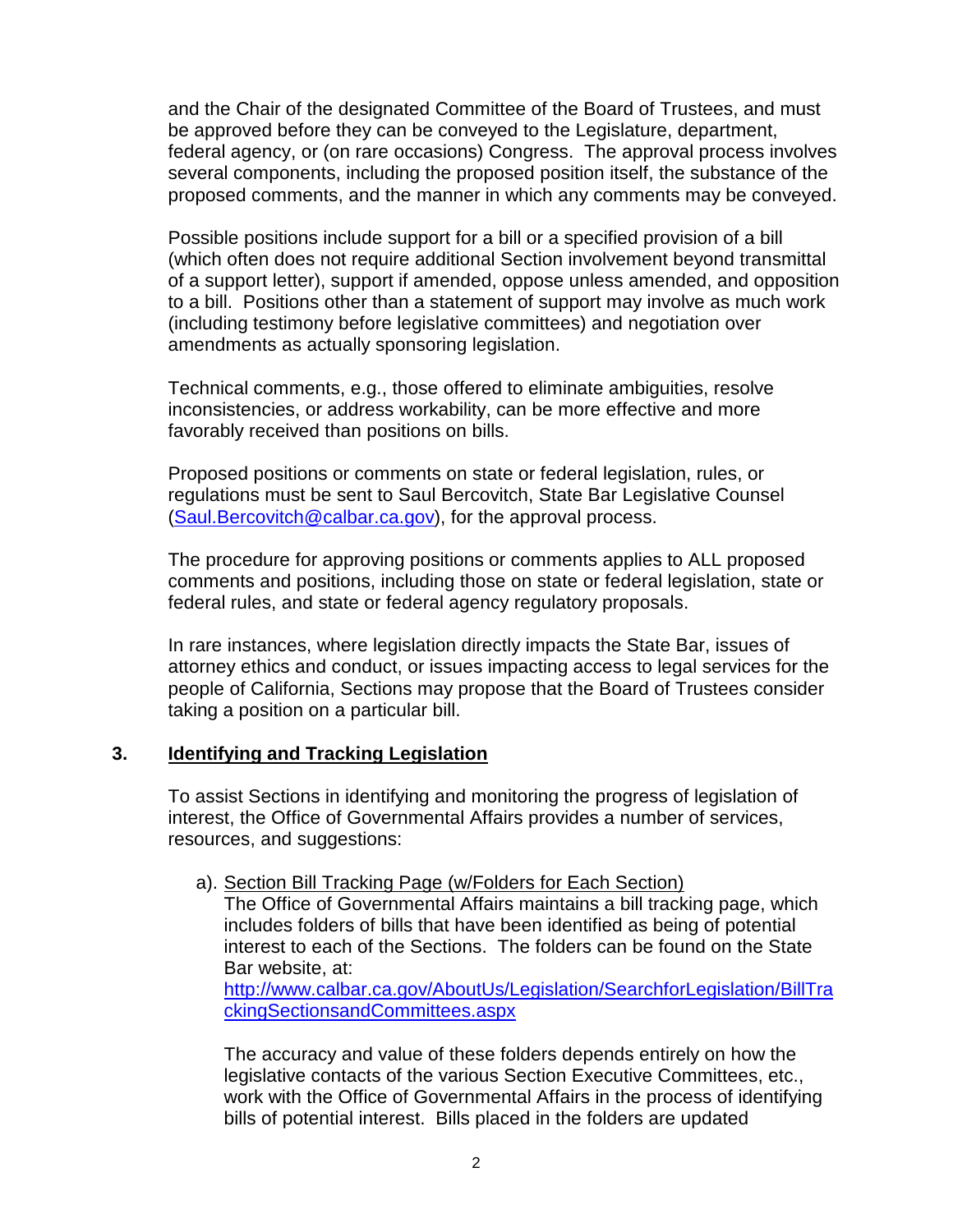and the Chair of the designated Committee of the Board of Trustees, and must be approved before they can be conveyed to the Legislature, department, federal agency, or (on rare occasions) Congress. The approval process involves several components, including the proposed position itself, the substance of the proposed comments, and the manner in which any comments may be conveyed.

Possible positions include support for a bill or a specified provision of a bill (which often does not require additional Section involvement beyond transmittal of a support letter), support if amended, oppose unless amended, and opposition to a bill. Positions other than a statement of support may involve as much work (including testimony before legislative committees) and negotiation over amendments as actually sponsoring legislation.

Technical comments, e.g., those offered to eliminate ambiguities, resolve inconsistencies, or address workability, can be more effective and more favorably received than positions on bills.

Proposed positions or comments on state or federal legislation, rules, or regulations must be sent to Saul Bercovitch, State Bar Legislative Counsel [\(Saul.Bercovitch@calbar.ca.gov\)](mailto:Saul.Bercovitch@calbar.ca.gov), for the approval process.

The procedure for approving positions or comments applies to ALL proposed comments and positions, including those on state or federal legislation, state or federal rules, and state or federal agency regulatory proposals.

In rare instances, where legislation directly impacts the State Bar, issues of attorney ethics and conduct, or issues impacting access to legal services for the people of California, Sections may propose that the Board of Trustees consider taking a position on a particular bill.

### **3. Identifying and Tracking Legislation**

To assist Sections in identifying and monitoring the progress of legislation of interest, the Office of Governmental Affairs provides a number of services, resources, and suggestions:

#### a). Section Bill Tracking Page (w/Folders for Each Section)

The Office of Governmental Affairs maintains a bill tracking page, which includes folders of bills that have been identified as being of potential interest to each of the Sections. The folders can be found on the State Bar website, at:

[http://www.calbar.ca.gov/AboutUs/Legislation/SearchforLegislation/BillTra](http://www.calbar.ca.gov/AboutUs/Legislation/SearchforLegislation/BillTrackingSectionsandCommittees.aspx) [ckingSectionsandCommittees.aspx](http://www.calbar.ca.gov/AboutUs/Legislation/SearchforLegislation/BillTrackingSectionsandCommittees.aspx)

The accuracy and value of these folders depends entirely on how the legislative contacts of the various Section Executive Committees, etc., work with the Office of Governmental Affairs in the process of identifying bills of potential interest. Bills placed in the folders are updated